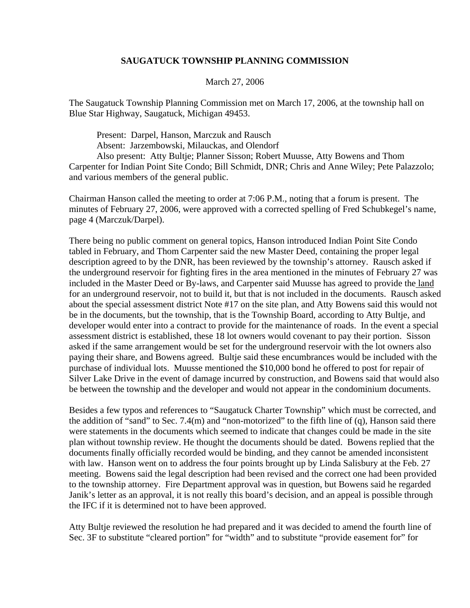## **SAUGATUCK TOWNSHIP PLANNING COMMISSION**

## March 27, 2006

The Saugatuck Township Planning Commission met on March 17, 2006, at the township hall on Blue Star Highway, Saugatuck, Michigan 49453.

 Present: Darpel, Hanson, Marczuk and Rausch Absent: Jarzembowski, Milauckas, and Olendorf

 Also present: Atty Bultje; Planner Sisson; Robert Muusse, Atty Bowens and Thom Carpenter for Indian Point Site Condo; Bill Schmidt, DNR; Chris and Anne Wiley; Pete Palazzolo; and various members of the general public.

Chairman Hanson called the meeting to order at 7:06 P.M., noting that a forum is present. The minutes of February 27, 2006, were approved with a corrected spelling of Fred Schubkegel's name, page 4 (Marczuk/Darpel).

There being no public comment on general topics, Hanson introduced Indian Point Site Condo tabled in February, and Thom Carpenter said the new Master Deed, containing the proper legal description agreed to by the DNR, has been reviewed by the township's attorney. Rausch asked if the underground reservoir for fighting fires in the area mentioned in the minutes of February 27 was included in the Master Deed or By-laws, and Carpenter said Muusse has agreed to provide the land for an underground reservoir, not to build it, but that is not included in the documents. Rausch asked about the special assessment district Note #17 on the site plan, and Atty Bowens said this would not be in the documents, but the township, that is the Township Board, according to Atty Bultje, and developer would enter into a contract to provide for the maintenance of roads. In the event a special assessment district is established, these 18 lot owners would covenant to pay their portion. Sisson asked if the same arrangement would be set for the underground reservoir with the lot owners also paying their share, and Bowens agreed. Bultje said these encumbrances would be included with the purchase of individual lots. Muusse mentioned the \$10,000 bond he offered to post for repair of Silver Lake Drive in the event of damage incurred by construction, and Bowens said that would also be between the township and the developer and would not appear in the condominium documents.

Besides a few typos and references to "Saugatuck Charter Township" which must be corrected, and the addition of "sand" to Sec. 7.4(m) and "non-motorized" to the fifth line of (q), Hanson said there were statements in the documents which seemed to indicate that changes could be made in the site plan without township review. He thought the documents should be dated. Bowens replied that the documents finally officially recorded would be binding, and they cannot be amended inconsistent with law. Hanson went on to address the four points brought up by Linda Salisbury at the Feb. 27 meeting. Bowens said the legal description had been revised and the correct one had been provided to the township attorney. Fire Department approval was in question, but Bowens said he regarded Janik's letter as an approval, it is not really this board's decision, and an appeal is possible through the IFC if it is determined not to have been approved.

Atty Bultje reviewed the resolution he had prepared and it was decided to amend the fourth line of Sec. 3F to substitute "cleared portion" for "width" and to substitute "provide easement for" for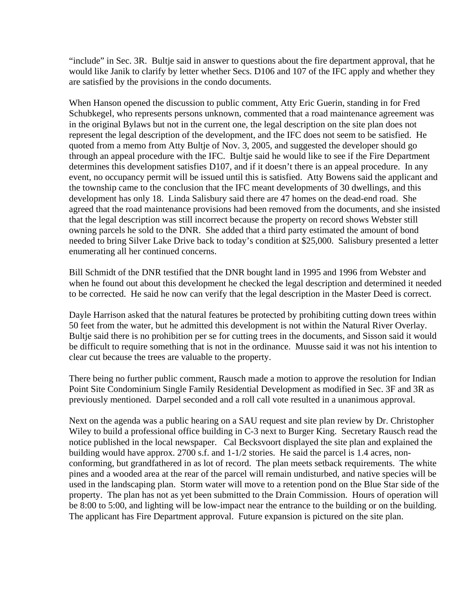"include" in Sec. 3R. Bultje said in answer to questions about the fire department approval, that he would like Janik to clarify by letter whether Secs. D106 and 107 of the IFC apply and whether they are satisfied by the provisions in the condo documents.

When Hanson opened the discussion to public comment, Atty Eric Guerin, standing in for Fred Schubkegel, who represents persons unknown, commented that a road maintenance agreement was in the original Bylaws but not in the current one, the legal description on the site plan does not represent the legal description of the development, and the IFC does not seem to be satisfied. He quoted from a memo from Atty Bultje of Nov. 3, 2005, and suggested the developer should go through an appeal procedure with the IFC. Bultje said he would like to see if the Fire Department determines this development satisfies D107, and if it doesn't there is an appeal procedure. In any event, no occupancy permit will be issued until this is satisfied. Atty Bowens said the applicant and the township came to the conclusion that the IFC meant developments of 30 dwellings, and this development has only 18. Linda Salisbury said there are 47 homes on the dead-end road. She agreed that the road maintenance provisions had been removed from the documents, and she insisted that the legal description was still incorrect because the property on record shows Webster still owning parcels he sold to the DNR. She added that a third party estimated the amount of bond needed to bring Silver Lake Drive back to today's condition at \$25,000. Salisbury presented a letter enumerating all her continued concerns.

Bill Schmidt of the DNR testified that the DNR bought land in 1995 and 1996 from Webster and when he found out about this development he checked the legal description and determined it needed to be corrected. He said he now can verify that the legal description in the Master Deed is correct.

Dayle Harrison asked that the natural features be protected by prohibiting cutting down trees within 50 feet from the water, but he admitted this development is not within the Natural River Overlay. Bultje said there is no prohibition per se for cutting trees in the documents, and Sisson said it would be difficult to require something that is not in the ordinance. Muusse said it was not his intention to clear cut because the trees are valuable to the property.

There being no further public comment, Rausch made a motion to approve the resolution for Indian Point Site Condominium Single Family Residential Development as modified in Sec. 3F and 3R as previously mentioned. Darpel seconded and a roll call vote resulted in a unanimous approval.

Next on the agenda was a public hearing on a SAU request and site plan review by Dr. Christopher Wiley to build a professional office building in C-3 next to Burger King. Secretary Rausch read the notice published in the local newspaper. Cal Becksvoort displayed the site plan and explained the building would have approx. 2700 s.f. and 1-1/2 stories. He said the parcel is 1.4 acres, nonconforming, but grandfathered in as lot of record. The plan meets setback requirements. The white pines and a wooded area at the rear of the parcel will remain undisturbed, and native species will be used in the landscaping plan. Storm water will move to a retention pond on the Blue Star side of the property. The plan has not as yet been submitted to the Drain Commission. Hours of operation will be 8:00 to 5:00, and lighting will be low-impact near the entrance to the building or on the building. The applicant has Fire Department approval. Future expansion is pictured on the site plan.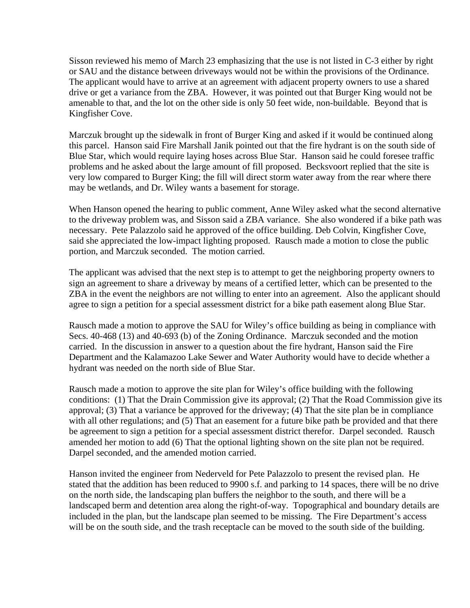Sisson reviewed his memo of March 23 emphasizing that the use is not listed in C-3 either by right or SAU and the distance between driveways would not be within the provisions of the Ordinance. The applicant would have to arrive at an agreement with adjacent property owners to use a shared drive or get a variance from the ZBA. However, it was pointed out that Burger King would not be amenable to that, and the lot on the other side is only 50 feet wide, non-buildable. Beyond that is Kingfisher Cove.

Marczuk brought up the sidewalk in front of Burger King and asked if it would be continued along this parcel. Hanson said Fire Marshall Janik pointed out that the fire hydrant is on the south side of Blue Star, which would require laying hoses across Blue Star. Hanson said he could foresee traffic problems and he asked about the large amount of fill proposed. Becksvoort replied that the site is very low compared to Burger King; the fill will direct storm water away from the rear where there may be wetlands, and Dr. Wiley wants a basement for storage.

When Hanson opened the hearing to public comment, Anne Wiley asked what the second alternative to the driveway problem was, and Sisson said a ZBA variance. She also wondered if a bike path was necessary. Pete Palazzolo said he approved of the office building. Deb Colvin, Kingfisher Cove, said she appreciated the low-impact lighting proposed. Rausch made a motion to close the public portion, and Marczuk seconded. The motion carried.

The applicant was advised that the next step is to attempt to get the neighboring property owners to sign an agreement to share a driveway by means of a certified letter, which can be presented to the ZBA in the event the neighbors are not willing to enter into an agreement. Also the applicant should agree to sign a petition for a special assessment district for a bike path easement along Blue Star.

Rausch made a motion to approve the SAU for Wiley's office building as being in compliance with Secs. 40-468 (13) and 40-693 (b) of the Zoning Ordinance. Marczuk seconded and the motion carried. In the discussion in answer to a question about the fire hydrant, Hanson said the Fire Department and the Kalamazoo Lake Sewer and Water Authority would have to decide whether a hydrant was needed on the north side of Blue Star.

Rausch made a motion to approve the site plan for Wiley's office building with the following conditions: (1) That the Drain Commission give its approval; (2) That the Road Commission give its approval; (3) That a variance be approved for the driveway; (4) That the site plan be in compliance with all other regulations; and (5) That an easement for a future bike path be provided and that there be agreement to sign a petition for a special assessment district therefor. Darpel seconded. Rausch amended her motion to add (6) That the optional lighting shown on the site plan not be required. Darpel seconded, and the amended motion carried.

Hanson invited the engineer from Nederveld for Pete Palazzolo to present the revised plan. He stated that the addition has been reduced to 9900 s.f. and parking to 14 spaces, there will be no drive on the north side, the landscaping plan buffers the neighbor to the south, and there will be a landscaped berm and detention area along the right-of-way. Topographical and boundary details are included in the plan, but the landscape plan seemed to be missing. The Fire Department's access will be on the south side, and the trash receptacle can be moved to the south side of the building.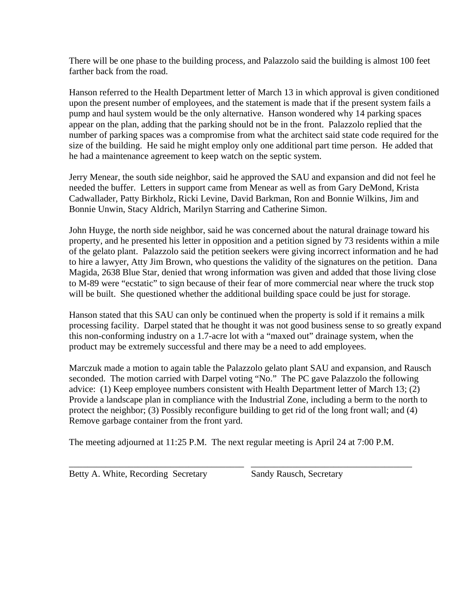There will be one phase to the building process, and Palazzolo said the building is almost 100 feet farther back from the road.

Hanson referred to the Health Department letter of March 13 in which approval is given conditioned upon the present number of employees, and the statement is made that if the present system fails a pump and haul system would be the only alternative. Hanson wondered why 14 parking spaces appear on the plan, adding that the parking should not be in the front. Palazzolo replied that the number of parking spaces was a compromise from what the architect said state code required for the size of the building. He said he might employ only one additional part time person. He added that he had a maintenance agreement to keep watch on the septic system.

Jerry Menear, the south side neighbor, said he approved the SAU and expansion and did not feel he needed the buffer. Letters in support came from Menear as well as from Gary DeMond, Krista Cadwallader, Patty Birkholz, Ricki Levine, David Barkman, Ron and Bonnie Wilkins, Jim and Bonnie Unwin, Stacy Aldrich, Marilyn Starring and Catherine Simon.

John Huyge, the north side neighbor, said he was concerned about the natural drainage toward his property, and he presented his letter in opposition and a petition signed by 73 residents within a mile of the gelato plant. Palazzolo said the petition seekers were giving incorrect information and he had to hire a lawyer, Atty Jim Brown, who questions the validity of the signatures on the petition. Dana Magida, 2638 Blue Star, denied that wrong information was given and added that those living close to M-89 were "ecstatic" to sign because of their fear of more commercial near where the truck stop will be built. She questioned whether the additional building space could be just for storage.

Hanson stated that this SAU can only be continued when the property is sold if it remains a milk processing facility. Darpel stated that he thought it was not good business sense to so greatly expand this non-conforming industry on a 1.7-acre lot with a "maxed out" drainage system, when the product may be extremely successful and there may be a need to add employees.

Marczuk made a motion to again table the Palazzolo gelato plant SAU and expansion, and Rausch seconded. The motion carried with Darpel voting "No." The PC gave Palazzolo the following advice: (1) Keep employee numbers consistent with Health Department letter of March 13; (2) Provide a landscape plan in compliance with the Industrial Zone, including a berm to the north to protect the neighbor; (3) Possibly reconfigure building to get rid of the long front wall; and (4) Remove garbage container from the front yard.

The meeting adjourned at 11:25 P.M. The next regular meeting is April 24 at 7:00 P.M.

\_\_\_\_\_\_\_\_\_\_\_\_\_\_\_\_\_\_\_\_\_\_\_\_\_\_\_\_\_\_\_\_\_\_\_\_\_\_ \_\_\_\_\_\_\_\_\_\_\_\_\_\_\_\_\_\_\_\_\_\_\_\_\_\_\_\_\_\_\_\_\_\_\_

Betty A. White, Recording Secretary Sandy Rausch, Secretary